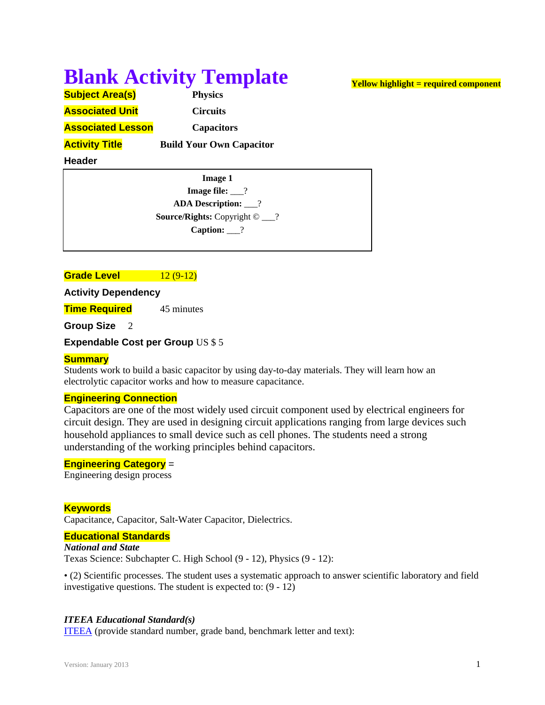# **Blank Activity Template**

| <b>Subject Area(s)</b>   | <b>Physics</b>                  |
|--------------------------|---------------------------------|
| <b>Associated Unit</b>   | <b>Circuits</b>                 |
| <b>Associated Lesson</b> | <b>Capacitors</b>               |
| <b>Activity Title</b>    | <b>Build Your Own Capacitor</b> |

#### **Header**

**Image 1 Image file:**  $\qquad$ ? **ADA Description:** \_\_\_? **Source/Rights:** Copyright © \_\_\_? **Caption:** \_\_\_?

# **Grade Level 12 (9-12)**

**Activity Dependency** 

**Time Required** 45 minutes

**Group Size** 2

**Expendable Cost per Group** US \$ 5

#### **Summary**

Students work to build a basic capacitor by using day-to-day materials. They will learn how an electrolytic capacitor works and how to measure capacitance.

#### **Engineering Connection**

Capacitors are one of the most widely used circuit component used by electrical engineers for circuit design. They are used in designing circuit applications ranging from large devices such household appliances to small device such as cell phones. The students need a strong understanding of the working principles behind capacitors.

#### **Engineering Category** =

Engineering design process

#### **Keywords**

Capacitance, Capacitor, Salt-Water Capacitor, Dielectrics.

#### **Educational Standards**

*National and State*  Texas Science: Subchapter C. High School (9 - 12), Physics (9 - 12):

• (2) Scientific processes. The student uses a systematic approach to answer scientific laboratory and field investigative questions. The student is expected to: (9 - 12)

#### *ITEEA Educational Standard(s)*

ITEEA (provide standard number, grade band, benchmark letter and text):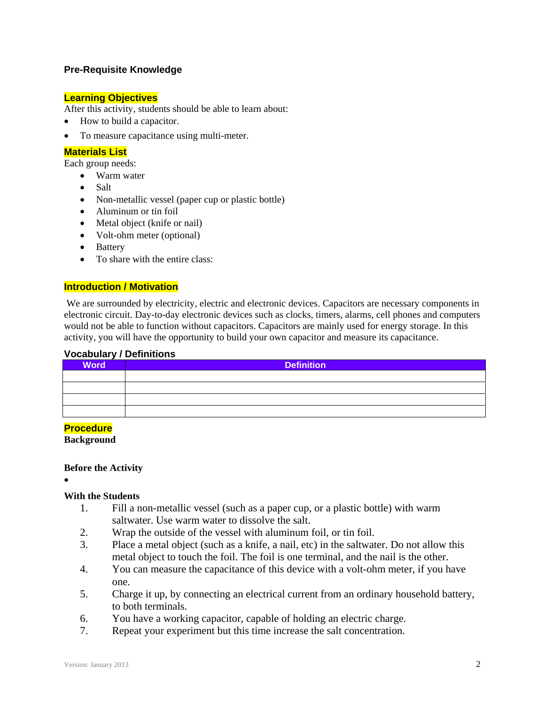# **Pre-Requisite Knowledge**

#### **Learning Objectives**

After this activity, students should be able to learn about:

- How to build a capacitor.
- To measure capacitance using multi-meter.

#### **Materials List**

Each group needs:

- Warm water
- Salt
- Non-metallic vessel (paper cup or plastic bottle)
- Aluminum or tin foil
- Metal object (knife or nail)
- Volt-ohm meter (optional)
- Battery
- To share with the entire class:

#### **Introduction / Motivation**

We are surrounded by electricity, electric and electronic devices. Capacitors are necessary components in electronic circuit. Day-to-day electronic devices such as clocks, timers, alarms, cell phones and computers would not be able to function without capacitors. Capacitors are mainly used for energy storage. In this activity, you will have the opportunity to build your own capacitor and measure its capacitance.

#### **Vocabulary / Definitions**

| <b>Word</b> | <b>Definition</b> |
|-------------|-------------------|
|             |                   |
|             |                   |
|             |                   |
|             |                   |

**Procedure** 

**Background**

#### **Before the Activity**

 $\bullet$ 

#### **With the Students**

- 1. Fill a non-metallic vessel (such as a paper cup, or a plastic bottle) with warm saltwater. Use warm water to dissolve the salt.
- 2. Wrap the outside of the vessel with aluminum foil, or tin foil.
- 3. Place a metal object (such as a knife, a nail, etc) in the saltwater. Do not allow this metal object to touch the foil. The foil is one terminal, and the nail is the other.
- 4. You can measure the capacitance of this device with a volt-ohm meter, if you have one.
- 5. Charge it up, by connecting an electrical current from an ordinary household battery, to both terminals.
- 6. You have a working capacitor, capable of holding an electric charge.
- 7. Repeat your experiment but this time increase the salt concentration.